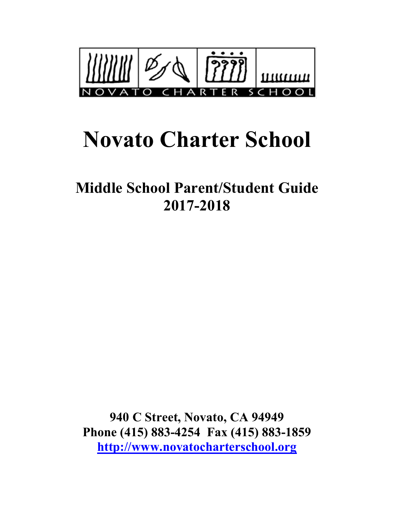

# **Novato Charter School**

**Middle School Parent/Student Guide 2017-2018**

**940 C Street, Novato, CA 94949 Phone (415) 883-4254 Fax (415) 883-1859 http://www.novatocharterschool.org**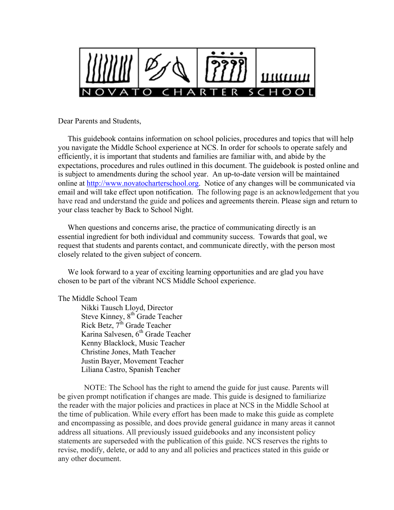

Dear Parents and Students,

 This guidebook contains information on school policies, procedures and topics that will help you navigate the Middle School experience at NCS. In order for schools to operate safely and efficiently, it is important that students and families are familiar with, and abide by the expectations, procedures and rules outlined in this document. The guidebook is posted online and is subject to amendments during the school year. An up-to-date version will be maintained online at http://www.novatocharterschool.org. Notice of any changes will be communicated via email and will take effect upon notification. The following page is an acknowledgement that you have read and understand the guide and polices and agreements therein. Please sign and return to your class teacher by Back to School Night.

 When questions and concerns arise, the practice of communicating directly is an essential ingredient for both individual and community success. Towards that goal, we request that students and parents contact, and communicate directly, with the person most closely related to the given subject of concern.

 We look forward to a year of exciting learning opportunities and are glad you have chosen to be part of the vibrant NCS Middle School experience.

#### The Middle School Team

Nikki Tausch Lloyd, Director Steve Kinney, 8<sup>th</sup> Grade Teacher Rick Betz,  $7^{th}$  Grade Teacher Karina Salvesen, 6<sup>th</sup> Grade Teacher Kenny Blacklock, Music Teacher Christine Jones, Math Teacher Justin Bayer, Movement Teacher Liliana Castro, Spanish Teacher

NOTE: The School has the right to amend the guide for just cause. Parents will be given prompt notification if changes are made. This guide is designed to familiarize the reader with the major policies and practices in place at NCS in the Middle School at the time of publication. While every effort has been made to make this guide as complete and encompassing as possible, and does provide general guidance in many areas it cannot address all situations. All previously issued guidebooks and any inconsistent policy statements are superseded with the publication of this guide. NCS reserves the rights to revise, modify, delete, or add to any and all policies and practices stated in this guide or any other document.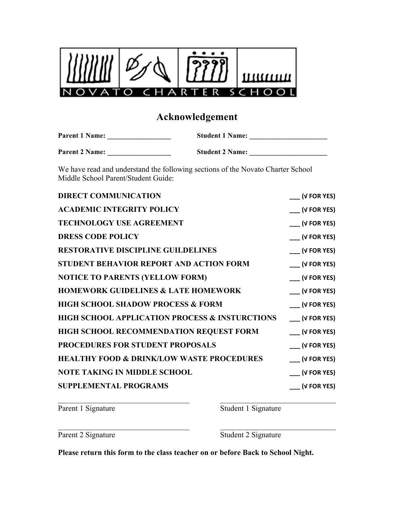

# **Acknowledgement**

| <b>Parent 1 Name:</b> | <b>Student 1 Name:</b> |  |
|-----------------------|------------------------|--|
|                       |                        |  |
| <b>Parent 2 Name:</b> | <b>Student 2 Name:</b> |  |

We have read and understand the following sections of the Novato Charter School Middle School Parent/Student Guide:

| <b>DIRECT COMMUNICATION</b>                               | $\cup$ (V FOR YES)               |
|-----------------------------------------------------------|----------------------------------|
| <b>ACADEMIC INTEGRITY POLICY</b>                          | $\sqrt{\phantom{a}}$ (V FOR YES) |
| <b>TECHNOLOGY USE AGREEMENT</b>                           | $\sqrt{(V FOR YES)}$             |
| <b>DRESS CODE POLICY</b>                                  | $\sqrt{(V FOR YES)}$             |
| <b>RESTORATIVE DISCIPLINE GUILDELINES</b>                 | $\sqrt{(V FOR YES)}$             |
| <b>STUDENT BEHAVIOR REPORT AND ACTION FORM</b>            | $\sqrt{(V FOR YES)}$             |
| <b>NOTICE TO PARENTS (YELLOW FORM)</b>                    | $\sqrt{(V FOR YES)}$             |
| <b>HOMEWORK GUIDELINES &amp; LATE HOMEWORK</b>            | $\sqrt{(V FOR YES)}$             |
| <b>HIGH SCHOOL SHADOW PROCESS &amp; FORM</b>              | $\sqrt{(V FOR YES)}$             |
| <b>HIGH SCHOOL APPLICATION PROCESS &amp; INSTURCTIONS</b> | $\sqrt{(V FOR YES)}$             |
| HIGH SCHOOL RECOMMENDATION REQUEST FORM                   | $(V$ FOR YES)                    |
| PROCEDURES FOR STUDENT PROPOSALS                          | $\sqrt{(V FOR YES)}$             |
| <b>HEALTHY FOOD &amp; DRINK/LOW WASTE PROCEDURES</b>      | $\sqrt{(V FOR YES)}$             |
| <b>NOTE TAKING IN MIDDLE SCHOOL</b>                       | $\sqrt{\phantom{a}}$ (V FOR YES) |
| <b>SUPPLEMENTAL PROGRAMS</b>                              | $\sqrt{V}$ FOR YES)              |
|                                                           |                                  |

Parent 1 Signature Student 1 Signature

Parent 2 Signature Student 2 Signature

**Please return this form to the class teacher on or before Back to School Night.**

 $\mathcal{L}_\mathcal{L} = \{ \mathcal{L}_\mathcal{L} = \{ \mathcal{L}_\mathcal{L} = \{ \mathcal{L}_\mathcal{L} = \{ \mathcal{L}_\mathcal{L} = \{ \mathcal{L}_\mathcal{L} = \{ \mathcal{L}_\mathcal{L} = \{ \mathcal{L}_\mathcal{L} = \{ \mathcal{L}_\mathcal{L} = \{ \mathcal{L}_\mathcal{L} = \{ \mathcal{L}_\mathcal{L} = \{ \mathcal{L}_\mathcal{L} = \{ \mathcal{L}_\mathcal{L} = \{ \mathcal{L}_\mathcal{L} = \{ \mathcal{L}_\mathcal{$ 

 $\mathcal{L}_\text{max} = \frac{1}{2} \sum_{i=1}^n \mathcal{L}_\text{max}(\mathbf{z}_i - \mathbf{z}_i)$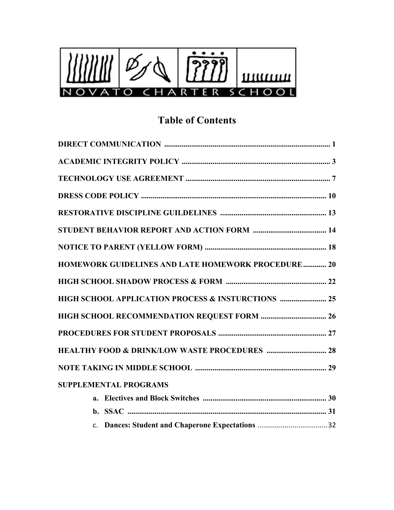

# **Table of Contents**

| HOMEWORK GUIDELINES AND LATE HOMEWORK PROCEDURE  20 |  |
|-----------------------------------------------------|--|
|                                                     |  |
| HIGH SCHOOL APPLICATION PROCESS & INSTURCTIONS  25  |  |
|                                                     |  |
|                                                     |  |
|                                                     |  |
|                                                     |  |
| <b>SUPPLEMENTAL PROGRAMS</b>                        |  |
|                                                     |  |
|                                                     |  |
|                                                     |  |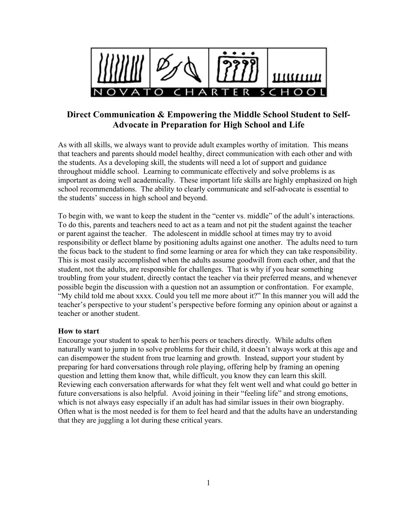

### **Direct Communication & Empowering the Middle School Student to Self-Advocate in Preparation for High School and Life**

As with all skills, we always want to provide adult examples worthy of imitation. This means that teachers and parents should model healthy, direct communication with each other and with the students. As a developing skill, the students will need a lot of support and guidance throughout middle school. Learning to communicate effectively and solve problems is as important as doing well academically. These important life skills are highly emphasized on high school recommendations. The ability to clearly communicate and self-advocate is essential to the students' success in high school and beyond.

To begin with, we want to keep the student in the "center vs. middle" of the adult's interactions. To do this, parents and teachers need to act as a team and not pit the student against the teacher or parent against the teacher. The adolescent in middle school at times may try to avoid responsibility or deflect blame by positioning adults against one another. The adults need to turn the focus back to the student to find some learning or area for which they can take responsibility. This is most easily accomplished when the adults assume goodwill from each other, and that the student, not the adults, are responsible for challenges. That is why if you hear something troubling from your student, directly contact the teacher via their preferred means, and whenever possible begin the discussion with a question not an assumption or confrontation. For example, "My child told me about xxxx. Could you tell me more about it?" In this manner you will add the teacher's perspective to your student's perspective before forming any opinion about or against a teacher or another student.

#### **How to start**

Encourage your student to speak to her/his peers or teachers directly. While adults often naturally want to jump in to solve problems for their child, it doesn't always work at this age and can disempower the student from true learning and growth. Instead, support your student by preparing for hard conversations through role playing, offering help by framing an opening question and letting them know that, while difficult, you know they can learn this skill. Reviewing each conversation afterwards for what they felt went well and what could go better in future conversations is also helpful. Avoid joining in their "feeling life" and strong emotions, which is not always easy especially if an adult has had similar issues in their own biography. Often what is the most needed is for them to feel heard and that the adults have an understanding that they are juggling a lot during these critical years.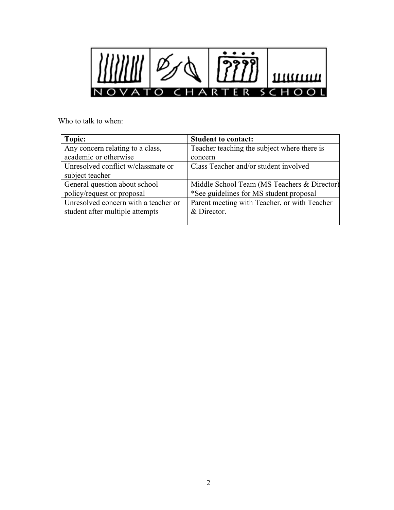

Who to talk to when:

| Topic:                               | <b>Student to contact:</b>                   |
|--------------------------------------|----------------------------------------------|
| Any concern relating to a class,     | Teacher teaching the subject where there is  |
| academic or otherwise                | concern                                      |
| Unresolved conflict w/classmate or   | Class Teacher and/or student involved        |
| subject teacher                      |                                              |
| General question about school        | Middle School Team (MS Teachers & Director)  |
| policy/request or proposal           | *See guidelines for MS student proposal      |
| Unresolved concern with a teacher or | Parent meeting with Teacher, or with Teacher |
| student after multiple attempts      | & Director.                                  |
|                                      |                                              |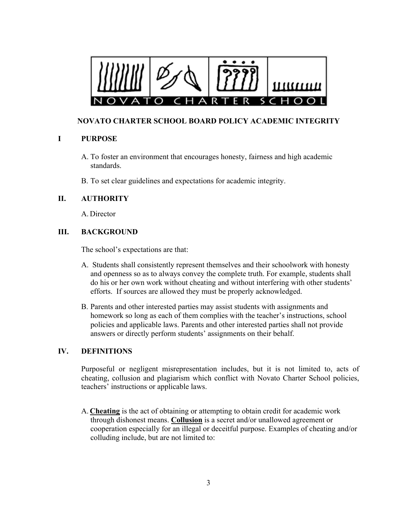

### **NOVATO CHARTER SCHOOL BOARD POLICY ACADEMIC INTEGRITY**

### **I PURPOSE**

- A. To foster an environment that encourages honesty, fairness and high academic standards.
- B. To set clear guidelines and expectations for academic integrity.

### **II. AUTHORITY**

A. Director

### **III. BACKGROUND**

The school's expectations are that:

- A. Students shall consistently represent themselves and their schoolwork with honesty and openness so as to always convey the complete truth. For example, students shall do his or her own work without cheating and without interfering with other students' efforts. If sources are allowed they must be properly acknowledged.
- B. Parents and other interested parties may assist students with assignments and homework so long as each of them complies with the teacher's instructions, school policies and applicable laws. Parents and other interested parties shall not provide answers or directly perform students' assignments on their behalf.

### **IV. DEFINITIONS**

Purposeful or negligent misrepresentation includes, but it is not limited to, acts of cheating, collusion and plagiarism which conflict with Novato Charter School policies, teachers' instructions or applicable laws.

A. **Cheating** is the act of obtaining or attempting to obtain credit for academic work through dishonest means. **Collusion** is a secret and/or unallowed agreement or cooperation especially for an illegal or deceitful purpose. Examples of cheating and/or colluding include, but are not limited to: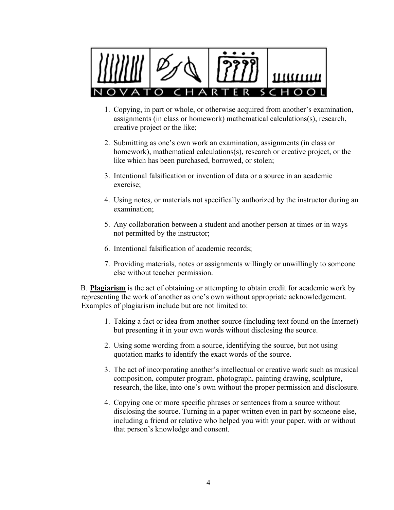

- 1. Copying, in part or whole, or otherwise acquired from another's examination, assignments (in class or homework) mathematical calculations(s), research, creative project or the like;
- 2. Submitting as one's own work an examination, assignments (in class or homework), mathematical calculations(s), research or creative project, or the like which has been purchased, borrowed, or stolen;
- 3. Intentional falsification or invention of data or a source in an academic exercise;
- 4. Using notes, or materials not specifically authorized by the instructor during an examination;
- 5. Any collaboration between a student and another person at times or in ways not permitted by the instructor;
- 6. Intentional falsification of academic records;
- 7. Providing materials, notes or assignments willingly or unwillingly to someone else without teacher permission.

B. **Plagiarism** is the act of obtaining or attempting to obtain credit for academic work by representing the work of another as one's own without appropriate acknowledgement. Examples of plagiarism include but are not limited to:

- 1. Taking a fact or idea from another source (including text found on the Internet) but presenting it in your own words without disclosing the source.
- 2. Using some wording from a source, identifying the source, but not using quotation marks to identify the exact words of the source.
- 3. The act of incorporating another's intellectual or creative work such as musical composition, computer program, photograph, painting drawing, sculpture, research, the like, into one's own without the proper permission and disclosure.
- 4. Copying one or more specific phrases or sentences from a source without disclosing the source. Turning in a paper written even in part by someone else, including a friend or relative who helped you with your paper, with or without that person's knowledge and consent.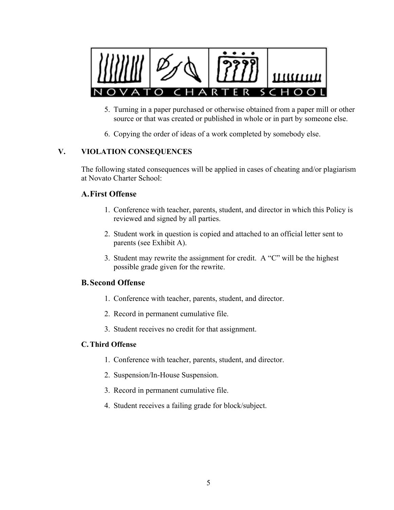

- 5. Turning in a paper purchased or otherwise obtained from a paper mill or other source or that was created or published in whole or in part by someone else.
- 6. Copying the order of ideas of a work completed by somebody else.

### **V. VIOLATION CONSEQUENCES**

The following stated consequences will be applied in cases of cheating and/or plagiarism at Novato Charter School:

#### **A.First Offense**

- 1. Conference with teacher, parents, student, and director in which this Policy is reviewed and signed by all parties.
- 2. Student work in question is copied and attached to an official letter sent to parents (see Exhibit A).
- 3. Student may rewrite the assignment for credit. A "C" will be the highest possible grade given for the rewrite.

#### **B.Second Offense**

- 1. Conference with teacher, parents, student, and director.
- 2. Record in permanent cumulative file.
- 3. Student receives no credit for that assignment.

#### **C.Third Offense**

- 1. Conference with teacher, parents, student, and director.
- 2. Suspension/In-House Suspension.
- 3. Record in permanent cumulative file.
- 4. Student receives a failing grade for block/subject.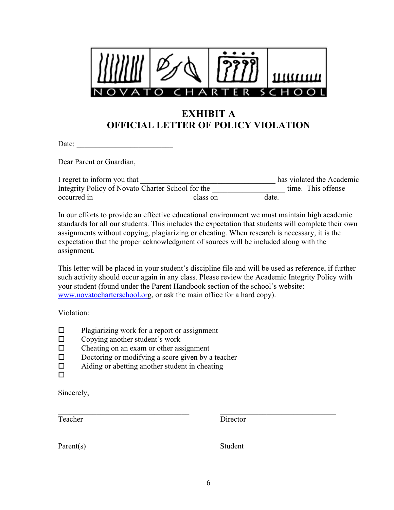

# **EXHIBIT A OFFICIAL LETTER OF POLICY VIOLATION**

Date:

Dear Parent or Guardian,

| I regret to inform you that                       |          |       | has violated the Academic |
|---------------------------------------------------|----------|-------|---------------------------|
| Integrity Policy of Novato Charter School for the |          |       | time. This offense        |
| occurred in                                       | class on | date. |                           |

In our efforts to provide an effective educational environment we must maintain high academic standards for all our students. This includes the expectation that students will complete their own assignments without copying, plagiarizing or cheating. When research is necessary, it is the expectation that the proper acknowledgment of sources will be included along with the assignment.

This letter will be placed in your student's discipline file and will be used as reference, if further such activity should occur again in any class. Please review the Academic Integrity Policy with your student (found under the Parent Handbook section of the school's website: www.novatocharterschool.org, or ask the main office for a hard copy).

Violation:

- $\Box$  Plagiarizing work for a report or assignment
- $\Box$  Copying another student's work
- $\Box$  Cheating on an exam or other assignment
- $\Box$  Doctoring or modifying a score given by a teacher  $\Box$  Aiding or abetting another student in cheating
- ! Aiding or abetting another student in cheating
- $\Box$

Sincerely,

Teacher Director

Parent(s) Student

 $\mathcal{L}_\text{max} = \frac{1}{2} \sum_{i=1}^n \mathcal{L}_\text{max}(\mathbf{z}_i - \mathbf{z}_i)$ 

 $\mathcal{L}_\mathcal{L} = \{ \mathcal{L}_\mathcal{L} = \{ \mathcal{L}_\mathcal{L} = \{ \mathcal{L}_\mathcal{L} = \{ \mathcal{L}_\mathcal{L} = \{ \mathcal{L}_\mathcal{L} = \{ \mathcal{L}_\mathcal{L} = \{ \mathcal{L}_\mathcal{L} = \{ \mathcal{L}_\mathcal{L} = \{ \mathcal{L}_\mathcal{L} = \{ \mathcal{L}_\mathcal{L} = \{ \mathcal{L}_\mathcal{L} = \{ \mathcal{L}_\mathcal{L} = \{ \mathcal{L}_\mathcal{L} = \{ \mathcal{L}_\mathcal{$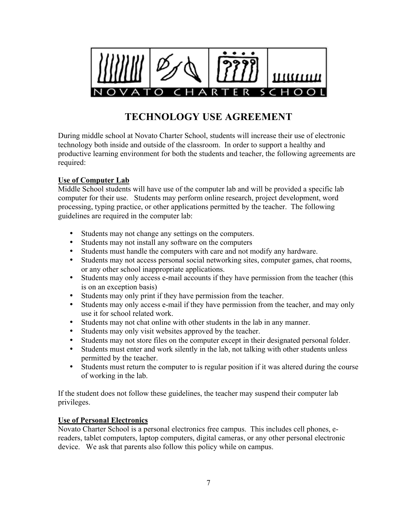

# **TECHNOLOGY USE AGREEMENT**

During middle school at Novato Charter School, students will increase their use of electronic technology both inside and outside of the classroom. In order to support a healthy and productive learning environment for both the students and teacher, the following agreements are required:

### **Use of Computer Lab**

Middle School students will have use of the computer lab and will be provided a specific lab computer for their use. Students may perform online research, project development, word processing, typing practice, or other applications permitted by the teacher. The following guidelines are required in the computer lab:

- Students may not change any settings on the computers.
- Students may not install any software on the computers
- Students must handle the computers with care and not modify any hardware.
- Students may not access personal social networking sites, computer games, chat rooms, or any other school inappropriate applications.
- Students may only access e-mail accounts if they have permission from the teacher (this is on an exception basis)
- Students may only print if they have permission from the teacher.
- Students may only access e-mail if they have permission from the teacher, and may only use it for school related work.
- Students may not chat online with other students in the lab in any manner.
- Students may only visit websites approved by the teacher.
- Students may not store files on the computer except in their designated personal folder.
- Students must enter and work silently in the lab, not talking with other students unless permitted by the teacher.
- Students must return the computer to is regular position if it was altered during the course of working in the lab.

If the student does not follow these guidelines, the teacher may suspend their computer lab privileges.

### **Use of Personal Electronics**

Novato Charter School is a personal electronics free campus. This includes cell phones, ereaders, tablet computers, laptop computers, digital cameras, or any other personal electronic device. We ask that parents also follow this policy while on campus.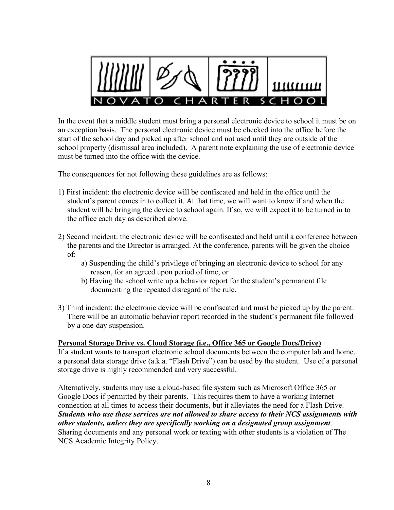

In the event that a middle student must bring a personal electronic device to school it must be on an exception basis. The personal electronic device must be checked into the office before the start of the school day and picked up after school and not used until they are outside of the school property (dismissal area included). A parent note explaining the use of electronic device must be turned into the office with the device.

The consequences for not following these guidelines are as follows:

- 1) First incident: the electronic device will be confiscated and held in the office until the student's parent comes in to collect it. At that time, we will want to know if and when the student will be bringing the device to school again. If so, we will expect it to be turned in to the office each day as described above.
- 2) Second incident: the electronic device will be confiscated and held until a conference between the parents and the Director is arranged. At the conference, parents will be given the choice of:
	- a) Suspending the child's privilege of bringing an electronic device to school for any reason, for an agreed upon period of time, or
	- b) Having the school write up a behavior report for the student's permanent file documenting the repeated disregard of the rule.
- 3) Third incident: the electronic device will be confiscated and must be picked up by the parent. There will be an automatic behavior report recorded in the student's permanent file followed by a one-day suspension.

### **Personal Storage Drive vs. Cloud Storage (i.e., Office 365 or Google Docs/Drive)**

If a student wants to transport electronic school documents between the computer lab and home, a personal data storage drive (a.k.a. "Flash Drive") can be used by the student. Use of a personal storage drive is highly recommended and very successful.

Alternatively, students may use a cloud-based file system such as Microsoft Office 365 or Google Docs if permitted by their parents. This requires them to have a working Internet connection at all times to access their documents, but it alleviates the need for a Flash Drive. *Students who use these services are not allowed to share access to their NCS assignments with other students, unless they are specifically working on a designated group assignment*. Sharing documents and any personal work or texting with other students is a violation of The NCS Academic Integrity Policy.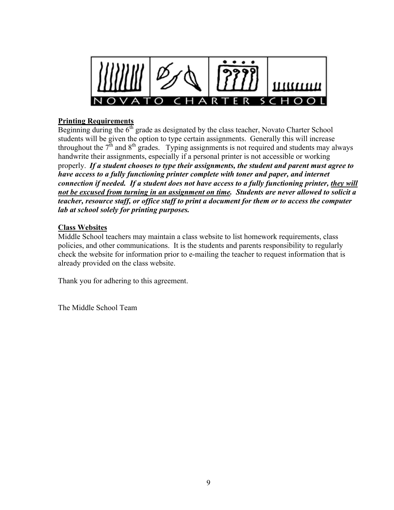

### **Printing Requirements**

Beginning during the  $6<sup>th</sup>$  grade as designated by the class teacher, Novato Charter School students will be given the option to type certain assignments. Generally this will increase throughout the  $7<sup>th</sup>$  and  $8<sup>th</sup>$  grades. Typing assignments is not required and students may always handwrite their assignments, especially if a personal printer is not accessible or working properly. *If a student chooses to type their assignments, the student and parent must agree to have access to a fully functioning printer complete with toner and paper, and internet connection if needed. If a student does not have access to a fully functioning printer, they will not be excused from turning in an assignment on time. Students are never allowed to solicit a teacher, resource staff, or office staff to print a document for them or to access the computer lab at school solely for printing purposes.*

### **Class Websites**

Middle School teachers may maintain a class website to list homework requirements, class policies, and other communications. It is the students and parents responsibility to regularly check the website for information prior to e-mailing the teacher to request information that is already provided on the class website.

Thank you for adhering to this agreement.

The Middle School Team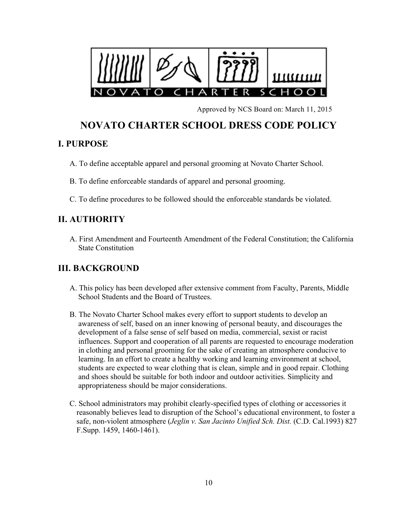

Approved by NCS Board on: March 11, 2015

# **NOVATO CHARTER SCHOOL DRESS CODE POLICY**

### **I. PURPOSE**

- A. To define acceptable apparel and personal grooming at Novato Charter School.
- B. To define enforceable standards of apparel and personal grooming.
- C. To define procedures to be followed should the enforceable standards be violated.

### **II. AUTHORITY**

A. First Amendment and Fourteenth Amendment of the Federal Constitution; the California State Constitution

### **III. BACKGROUND**

- A. This policy has been developed after extensive comment from Faculty, Parents, Middle School Students and the Board of Trustees.
- B. The Novato Charter School makes every effort to support students to develop an awareness of self, based on an inner knowing of personal beauty, and discourages the development of a false sense of self based on media, commercial, sexist or racist influences. Support and cooperation of all parents are requested to encourage moderation in clothing and personal grooming for the sake of creating an atmosphere conducive to learning. In an effort to create a healthy working and learning environment at school, students are expected to wear clothing that is clean, simple and in good repair. Clothing and shoes should be suitable for both indoor and outdoor activities. Simplicity and appropriateness should be major considerations.
- C. School administrators may prohibit clearly-specified types of clothing or accessories it reasonably believes lead to disruption of the School's educational environment, to foster a safe, non-violent atmosphere (*Jeglin v. San Jacinto Unified Sch. Dist.* (C.D. Cal.1993) 827 F.Supp. 1459, 1460-1461).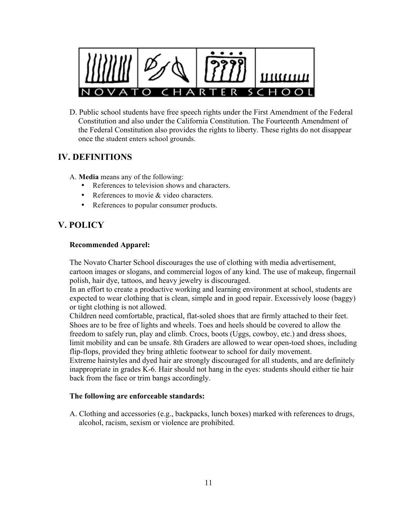

D. Public school students have free speech rights under the First Amendment of the Federal Constitution and also under the California Constitution. The Fourteenth Amendment of the Federal Constitution also provides the rights to liberty. These rights do not disappear once the student enters school grounds.

### **IV. DEFINITIONS**

A. **Media** means any of the following:

- References to television shows and characters.
- References to movie & video characters.
- References to popular consumer products.

### **V. POLICY**

### **Recommended Apparel:**

The Novato Charter School discourages the use of clothing with media advertisement, cartoon images or slogans, and commercial logos of any kind. The use of makeup, fingernail polish, hair dye, tattoos, and heavy jewelry is discouraged.

In an effort to create a productive working and learning environment at school, students are expected to wear clothing that is clean, simple and in good repair. Excessively loose (baggy) or tight clothing is not allowed.

Children need comfortable, practical, flat-soled shoes that are firmly attached to their feet. Shoes are to be free of lights and wheels. Toes and heels should be covered to allow the freedom to safely run, play and climb. Crocs, boots (Uggs, cowboy, etc.) and dress shoes, limit mobility and can be unsafe. 8th Graders are allowed to wear open-toed shoes, including flip-flops, provided they bring athletic footwear to school for daily movement.

Extreme hairstyles and dyed hair are strongly discouraged for all students, and are definitely inappropriate in grades K-6. Hair should not hang in the eyes: students should either tie hair back from the face or trim bangs accordingly.

### **The following are enforceable standards:**

A. Clothing and accessories (e.g., backpacks, lunch boxes) marked with references to drugs, alcohol, racism, sexism or violence are prohibited.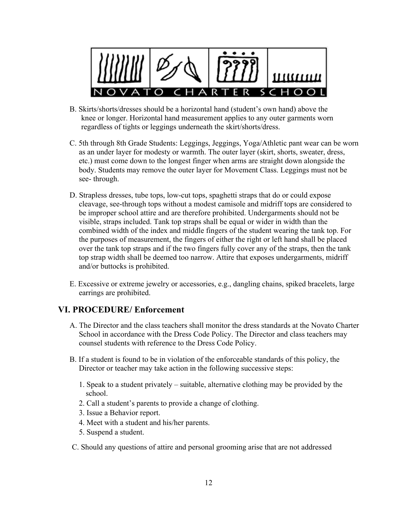

- B. Skirts/shorts/dresses should be a horizontal hand (student's own hand) above the knee or longer. Horizontal hand measurement applies to any outer garments worn regardless of tights or leggings underneath the skirt/shorts/dress.
- C. 5th through 8th Grade Students: Leggings, Jeggings, Yoga/Athletic pant wear can be worn as an under layer for modesty or warmth. The outer layer (skirt, shorts, sweater, dress, etc.) must come down to the longest finger when arms are straight down alongside the body. Students may remove the outer layer for Movement Class. Leggings must not be see- through.
- D. Strapless dresses, tube tops, low-cut tops, spaghetti straps that do or could expose cleavage, see-through tops without a modest camisole and midriff tops are considered to be improper school attire and are therefore prohibited. Undergarments should not be visible, straps included. Tank top straps shall be equal or wider in width than the combined width of the index and middle fingers of the student wearing the tank top. For the purposes of measurement, the fingers of either the right or left hand shall be placed over the tank top straps and if the two fingers fully cover any of the straps, then the tank top strap width shall be deemed too narrow. Attire that exposes undergarments, midriff and/or buttocks is prohibited.
- E. Excessive or extreme jewelry or accessories, e.g., dangling chains, spiked bracelets, large earrings are prohibited.

### **VI. PROCEDURE/ Enforcement**

- A. The Director and the class teachers shall monitor the dress standards at the Novato Charter School in accordance with the Dress Code Policy. The Director and class teachers may counsel students with reference to the Dress Code Policy.
- B. If a student is found to be in violation of the enforceable standards of this policy, the Director or teacher may take action in the following successive steps:
	- 1. Speak to a student privately suitable, alternative clothing may be provided by the school.
	- 2. Call a student's parents to provide a change of clothing.
	- 3. Issue a Behavior report.
	- 4. Meet with a student and his/her parents.
	- 5. Suspend a student.
- C. Should any questions of attire and personal grooming arise that are not addressed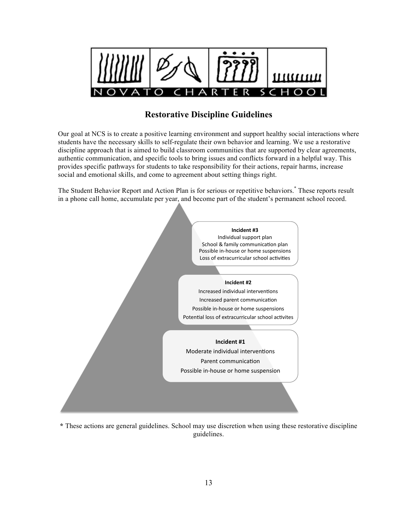

### **Restorative Discipline Guidelines**

Our goal at NCS is to create a positive learning environment and support healthy social interactions where students have the necessary skills to self-regulate their own behavior and learning. We use a restorative discipline approach that is aimed to build classroom communities that are supported by clear agreements, authentic communication, and specific tools to bring issues and conflicts forward in a helpful way. This provides specific pathways for students to take responsibility for their actions, repair harms, increase social and emotional skills, and come to agreement about setting things right.

The Student Behavior Report and Action Plan is for serious or repetitive behaviors.**\*** These reports result in a phone call home, accumulate per year, and become part of the student's permanent school record.



**\*** These actions are general guidelines. School may use discretion when using these restorative discipline guidelines.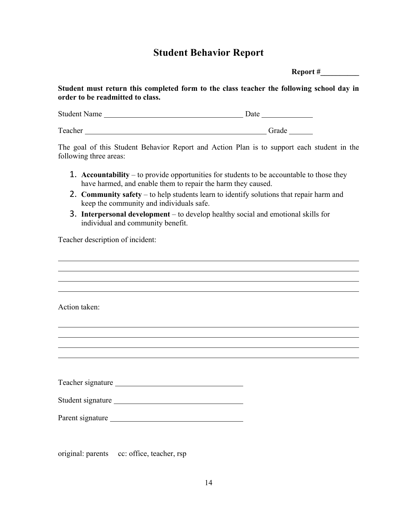# **Student Behavior Report**

**Report #\_\_\_\_\_\_\_\_\_\_**

**Student must return this completed form to the class teacher the following school day in order to be readmitted to class.**

| <b>Student Name</b> | Date |  |
|---------------------|------|--|
|                     |      |  |
|                     |      |  |

Teacher Grade Grade Grade Grade Grade Grade Grade Grade Grade Grade Grade Grade Grade Grade Grade Grade Grade Grade Grade Grade Grade Grade Grade Grade Grade Grade Grade Grade Grade Grade Grade Grade Grade Grade Grade Grad

The goal of this Student Behavior Report and Action Plan is to support each student in the following three areas:

- 1. **Accountability** to provide opportunities for students to be accountable to those they have harmed, and enable them to repair the harm they caused.
- 2. **Community safety** to help students learn to identify solutions that repair harm and keep the community and individuals safe.
- 3. **Interpersonal development**  to develop healthy social and emotional skills for individual and community benefit.

Teacher description of incident:

| Action taken:     |  |  |
|-------------------|--|--|
|                   |  |  |
|                   |  |  |
|                   |  |  |
|                   |  |  |
|                   |  |  |
|                   |  |  |
|                   |  |  |
| Teacher signature |  |  |
| Student signature |  |  |
|                   |  |  |
| Parent signature  |  |  |
|                   |  |  |
|                   |  |  |
|                   |  |  |

original: parents cc: office, teacher, rsp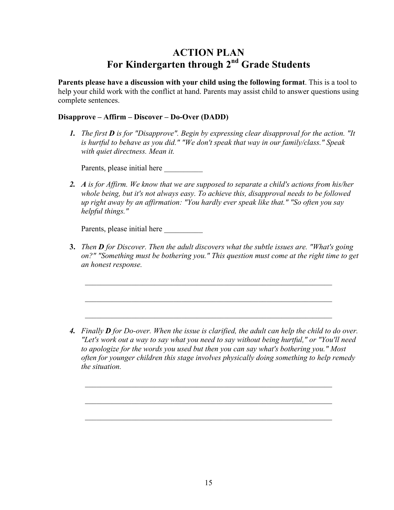# **ACTION PLAN For Kindergarten through 2nd Grade Students**

**Parents please have a discussion with your child using the following format**. This is a tool to help your child work with the conflict at hand. Parents may assist child to answer questions using complete sentences.

#### **Disapprove – Affirm – Discover – Do-Over (DADD)**

*1. The first D is for "Disapprove". Begin by expressing clear disapproval for the action. "It is hurtful to behave as you did." "We don't speak that way in our family/class." Speak with quiet directness. Mean it.*

Parents, please initial here

*2. A is for Affirm. We know that we are supposed to separate a child's actions from his/her whole being, but it's not always easy. To achieve this, disapproval needs to be followed up right away by an affirmation: "You hardly ever speak like that." "So often you say helpful things."*

Parents, please initial here

**3.** *Then D for Discover. Then the adult discovers what the subtle issues are. "What's going on?" "Something must be bothering you." This question must come at the right time to get an honest response.*

*4. Finally D for Do-over. When the issue is clarified, the adult can help the child to do over. "Let's work out a way to say what you need to say without being hurtful," or "You'll need to apologize for the words you used but then you can say what's bothering you." Most often for younger children this stage involves physically doing something to help remedy the situation.*

 $\mathcal{L} = \{ \mathcal{L} \mathcal{L} \mathcal{L} \mathcal{L} \mathcal{L} \mathcal{L} \mathcal{L} \mathcal{L} \mathcal{L} \mathcal{L} \mathcal{L} \mathcal{L} \mathcal{L} \mathcal{L} \mathcal{L} \mathcal{L} \mathcal{L} \mathcal{L} \mathcal{L} \mathcal{L} \mathcal{L} \mathcal{L} \mathcal{L} \mathcal{L} \mathcal{L} \mathcal{L} \mathcal{L} \mathcal{L} \mathcal{L} \mathcal{L} \mathcal{L} \mathcal{L} \mathcal{L} \mathcal{L} \mathcal{L} \$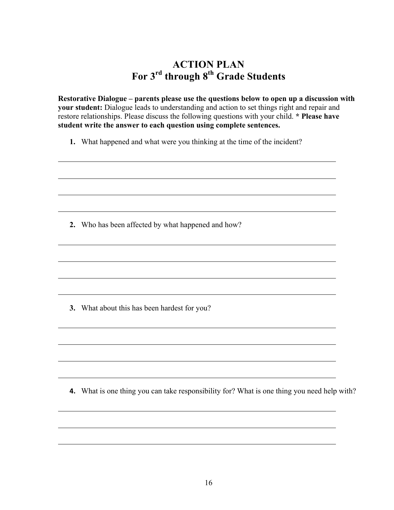# **ACTION PLAN For 3<sup>rd</sup> through 8<sup>th</sup> Grade Students**

**Restorative Dialogue – parents please use the questions below to open up a discussion with your student:** Dialogue leads to understanding and action to set things right and repair and restore relationships. Please discuss the following questions with your child. **\* Please have student write the answer to each question using complete sentences.**

**1.** What happened and what were you thinking at the time of the incident?

**2.** Who has been affected by what happened and how?

**3.** What about this has been hardest for you?

**4.** What is one thing you can take responsibility for? What is one thing you need help with?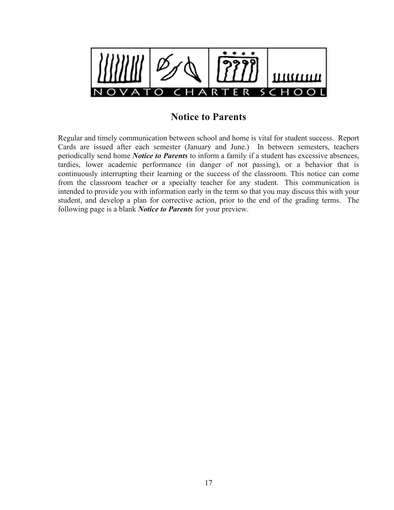

### **Notice to Parents**

Regular and timely communication between school and home is vital for student success. Report Cards are issued after each semester (January and June.) In between semesters, teachers periodically send home *Notice to Parents* to inform a family if a student has excessive absences, tardies, lower academic performance (in danger of not passing), or a behavior that is continuously interrupting their learning or the success of the classroom. This notice can come from the classroom teacher or a specialty teacher for any student. This communication is intended to provide you with information early in the term so that you may discuss this with your student, and develop a plan for corrective action, prior to the end of the grading terms. The following page is a blank *Notice to Parents* for your preview.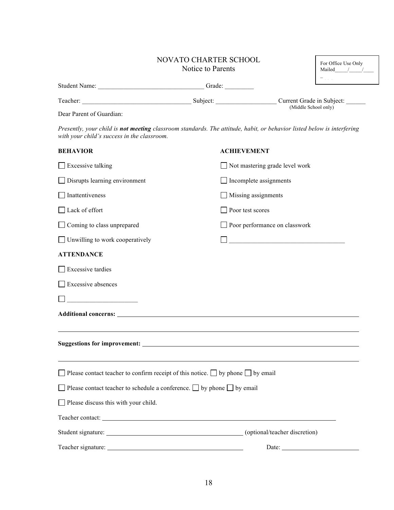| <b>NOVATO CHARTER SCHOOL</b> |
|------------------------------|
| Notice to Parents            |

| For Office Use Only |  |
|---------------------|--|
| Mailed              |  |
|                     |  |

| Student Name: | Grade:   |                                                   |
|---------------|----------|---------------------------------------------------|
| Teacher:      | Subject: | Current Grade in Subject:<br>(Middle School only) |

Dear Parent of Guardian:

*Presently, your child is not meeting classroom standards. The attitude, habit, or behavior listed below is interfering with your child's success in the classroom.*

| <b>BEHAVIOR</b>                                                                                                                                                                                                                | <b>ACHIEVEMENT</b>                                                                                                    |
|--------------------------------------------------------------------------------------------------------------------------------------------------------------------------------------------------------------------------------|-----------------------------------------------------------------------------------------------------------------------|
| $\Box$ Excessive talking                                                                                                                                                                                                       | Not mastering grade level work                                                                                        |
| □ Disrupts learning environment                                                                                                                                                                                                | Incomplete assignments                                                                                                |
| $\Box$ Inattentiveness                                                                                                                                                                                                         | Missing assignments                                                                                                   |
| Lack of effort                                                                                                                                                                                                                 | Poor test scores                                                                                                      |
| $\Box$ Coming to class unprepared                                                                                                                                                                                              | Poor performance on classwork                                                                                         |
| $\Box$ Unwilling to work cooperatively                                                                                                                                                                                         | <u> 1989 - Johann Barn, mars eta bainar eta industrial eta baina eta baina eta baina eta baina eta baina eta bain</u> |
| <b>ATTENDANCE</b>                                                                                                                                                                                                              |                                                                                                                       |
| $\Box$ Excessive tardies                                                                                                                                                                                                       |                                                                                                                       |
| Excessive absences                                                                                                                                                                                                             |                                                                                                                       |
|                                                                                                                                                                                                                                |                                                                                                                       |
|                                                                                                                                                                                                                                |                                                                                                                       |
|                                                                                                                                                                                                                                |                                                                                                                       |
| $\Box$ Please contact teacher to confirm receipt of this notice. $\Box$ by phone $\Box$ by email                                                                                                                               |                                                                                                                       |
| $\Box$ Please contact teacher to schedule a conference. $\Box$ by phone $\Box$ by email                                                                                                                                        |                                                                                                                       |
| $\Box$ Please discuss this with your child.                                                                                                                                                                                    |                                                                                                                       |
| Teacher contact: Leading and the contract of the contract of the contract of the contract of the contract of the contract of the contract of the contract of the contract of the contract of the contract of the contract of t |                                                                                                                       |
|                                                                                                                                                                                                                                |                                                                                                                       |
|                                                                                                                                                                                                                                | Date:                                                                                                                 |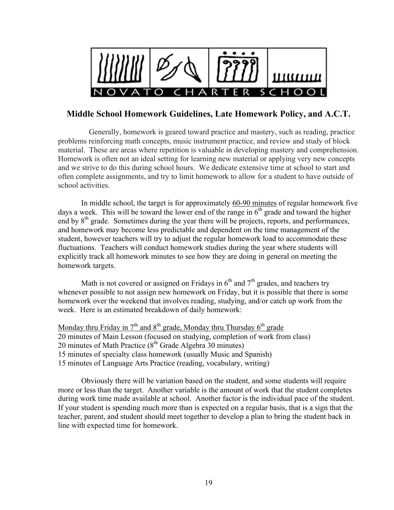

### **Middle School Homework Guidelines, Late Homework Policy, and A.C.T.**

Generally, homework is geared toward practice and mastery, such as reading, practice problems reinforcing math concepts, music instrument practice, and review and study of block material. These are areas where repetition is valuable in developing mastery and comprehension. Homework is often not an ideal setting for learning new material or applying very new concepts and we strive to do this during school hours. We dedicate extensive time at school to start and often complete assignments, and try to limit homework to allow for a student to have outside of school activities.

In middle school, the target is for approximately 60-90 minutes of regular homework five days a week. This will be toward the lower end of the range in  $6<sup>th</sup>$  grade and toward the higher end by 8<sup>th</sup> grade. Sometimes during the year there will be projects, reports, and performances, and homework may become less predictable and dependent on the time management of the student, however teachers will try to adjust the regular homework load to accommodate these fluctuations. Teachers will conduct homework studies during the year where students will explicitly track all homework minutes to see how they are doing in general on meeting the homework targets.

Math is not covered or assigned on Fridays in  $6<sup>th</sup>$  and  $7<sup>th</sup>$  grades, and teachers try whenever possible to not assign new homework on Friday, but it is possible that there is some homework over the weekend that involves reading, studying, and/or catch up work from the week. Here is an estimated breakdown of daily homework:

Monday thru Friday in  $7<sup>th</sup>$  and  $8<sup>th</sup>$  grade, Monday thru Thursday  $6<sup>th</sup>$  grade 20 minutes of Main Lesson (focused on studying, completion of work from class) 20 minutes of Math Practice  $(8<sup>th</sup>$  Grade Algebra 30 minutes) 15 minutes of specialty class homework (usually Music and Spanish) 15 minutes of Language Arts Practice (reading, vocabulary, writing)

Obviously there will be variation based on the student, and some students will require more or less than the target. Another variable is the amount of work that the student completes during work time made available at school. Another factor is the individual pace of the student. If your student is spending much more than is expected on a regular basis, that is a sign that the teacher, parent, and student should meet together to develop a plan to bring the student back in line with expected time for homework.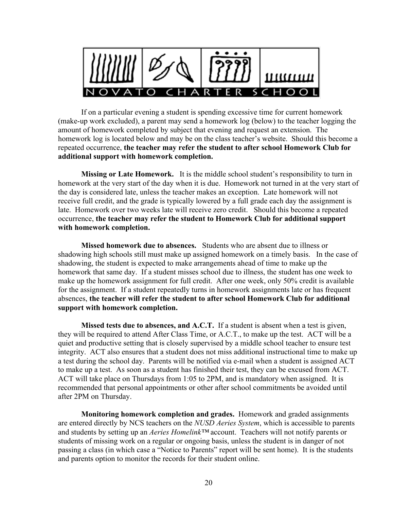

If on a particular evening a student is spending excessive time for current homework (make-up work excluded), a parent may send a homework log (below) to the teacher logging the amount of homework completed by subject that evening and request an extension. The homework log is located below and may be on the class teacher's website. Should this become a repeated occurrence, **the teacher may refer the student to after school Homework Club for additional support with homework completion.**

**Missing or Late Homework.** It is the middle school student's responsibility to turn in homework at the very start of the day when it is due. Homework not turned in at the very start of the day is considered late, unless the teacher makes an exception. Late homework will not receive full credit, and the grade is typically lowered by a full grade each day the assignment is late. Homework over two weeks late will receive zero credit. Should this become a repeated occurrence, **the teacher may refer the student to Homework Club for additional support with homework completion.**

**Missed homework due to absences.** Students who are absent due to illness or shadowing high schools still must make up assigned homework on a timely basis. In the case of shadowing, the student is expected to make arrangements ahead of time to make up the homework that same day. If a student misses school due to illness, the student has one week to make up the homework assignment for full credit. After one week, only 50% credit is available for the assignment. If a student repeatedly turns in homework assignments late or has frequent absences, **the teacher will refer the student to after school Homework Club for additional support with homework completion.**

**Missed tests due to absences, and A.C.T.** If a student is absent when a test is given, they will be required to attend After Class Time, or A.C.T., to make up the test. ACT will be a quiet and productive setting that is closely supervised by a middle school teacher to ensure test integrity. ACT also ensures that a student does not miss additional instructional time to make up a test during the school day. Parents will be notified via e-mail when a student is assigned ACT to make up a test. As soon as a student has finished their test, they can be excused from ACT. ACT will take place on Thursdays from 1:05 to 2PM, and is mandatory when assigned. It is recommended that personal appointments or other after school commitments be avoided until after 2PM on Thursday.

**Monitoring homework completion and grades.** Homework and graded assignments are entered directly by NCS teachers on the *NUSD Aeries System*, which is accessible to parents and students by setting up an *Aeries Homelink™* account. Teachers will not notify parents or students of missing work on a regular or ongoing basis, unless the student is in danger of not passing a class (in which case a "Notice to Parents" report will be sent home). It is the students and parents option to monitor the records for their student online.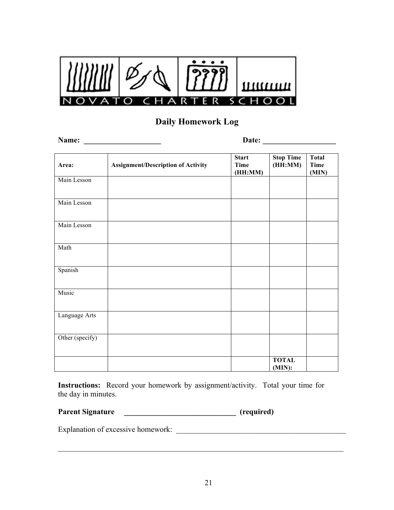

### **Daily Homework Log**

**Name: \_\_\_\_\_\_\_\_\_\_\_\_\_\_\_\_\_\_\_\_ Date: \_\_\_\_\_\_\_\_\_\_\_\_\_\_\_\_\_\_\_ Area: Assignment/Description of Activity Start Time (HH:MM) Stop Time (HH:MM) Total Time (MIN)** Main Lesson Main Lesson Main Lesson Math Spanish Music Language Arts Other (specify) **TOTAL (MIN):**

**Instructions:** Record your homework by assignment/activity. Total your time for the day in minutes.

| <b>Parent Signature</b> |  | (required) |  |
|-------------------------|--|------------|--|
|-------------------------|--|------------|--|

Explanation of excessive homework: \_\_\_\_\_\_\_\_\_\_\_\_\_\_\_\_\_\_\_\_\_\_\_\_\_\_\_\_\_\_\_\_\_\_\_\_\_\_\_\_\_\_\_\_

 $\mathcal{L}_\text{max}$  , and the contribution of the contribution of the contribution of the contribution of the contribution of the contribution of the contribution of the contribution of the contribution of the contribution of t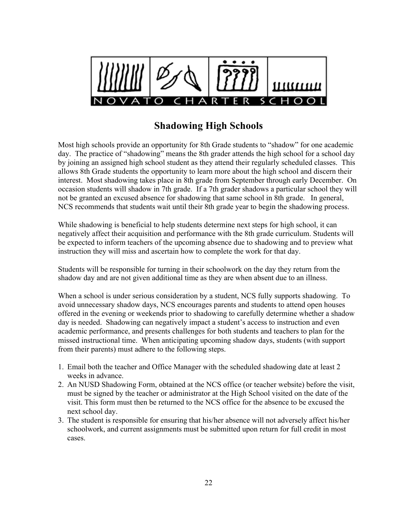

# **Shadowing High Schools**

Most high schools provide an opportunity for 8th Grade students to "shadow" for one academic day. The practice of "shadowing" means the 8th grader attends the high school for a school day by joining an assigned high school student as they attend their regularly scheduled classes. This allows 8th Grade students the opportunity to learn more about the high school and discern their interest. Most shadowing takes place in 8th grade from September through early December. On occasion students will shadow in 7th grade. If a 7th grader shadows a particular school they will not be granted an excused absence for shadowing that same school in 8th grade. In general, NCS recommends that students wait until their 8th grade year to begin the shadowing process.

While shadowing is beneficial to help students determine next steps for high school, it can negatively affect their acquisition and performance with the 8th grade curriculum. Students will be expected to inform teachers of the upcoming absence due to shadowing and to preview what instruction they will miss and ascertain how to complete the work for that day.

Students will be responsible for turning in their schoolwork on the day they return from the shadow day and are not given additional time as they are when absent due to an illness.

When a school is under serious consideration by a student, NCS fully supports shadowing. To avoid unnecessary shadow days, NCS encourages parents and students to attend open houses offered in the evening or weekends prior to shadowing to carefully determine whether a shadow day is needed. Shadowing can negatively impact a student's access to instruction and even academic performance, and presents challenges for both students and teachers to plan for the missed instructional time. When anticipating upcoming shadow days, students (with support from their parents) must adhere to the following steps.

- 1. Email both the teacher and Office Manager with the scheduled shadowing date at least 2 weeks in advance.
- 2. An NUSD Shadowing Form, obtained at the NCS office (or teacher website) before the visit, must be signed by the teacher or administrator at the High School visited on the date of the visit. This form must then be returned to the NCS office for the absence to be excused the next school day.
- 3. The student is responsible for ensuring that his/her absence will not adversely affect his/her schoolwork, and current assignments must be submitted upon return for full credit in most cases.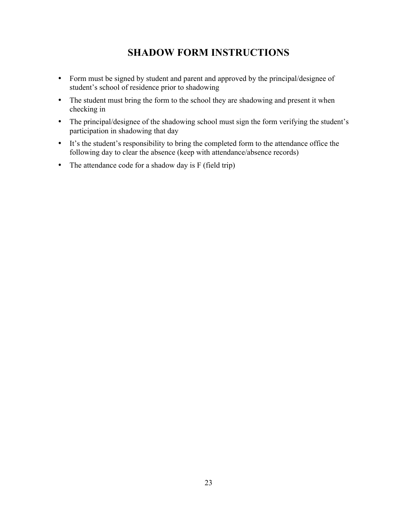# **SHADOW FORM INSTRUCTIONS**

- Form must be signed by student and parent and approved by the principal/designee of student's school of residence prior to shadowing
- The student must bring the form to the school they are shadowing and present it when checking in
- The principal/designee of the shadowing school must sign the form verifying the student's participation in shadowing that day
- It's the student's responsibility to bring the completed form to the attendance office the following day to clear the absence (keep with attendance/absence records)
- The attendance code for a shadow day is F (field trip)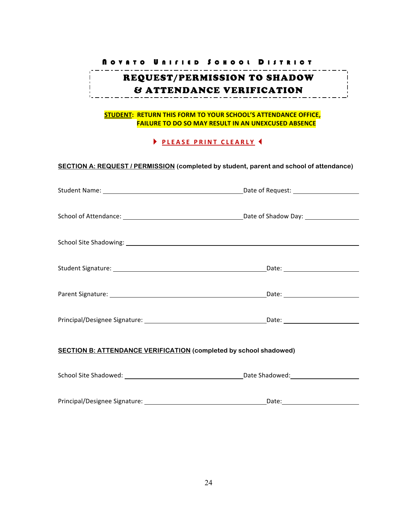### N OVATO U NIFIED S CHOOL D ISTRICT REQUEST/PERMISSION TO SHADOW  $\blacksquare$ & ATTENDANCE VERIFICATION

#### **STUDENT: RETURN THIS FORM TO YOUR SCHOOL'S ATTENDANCE OFFICE, FAILURE TO DO SO MAY RESULT IN AN UNEXCUSED ABSENCE**

#### **PLEASE PRINT CLEARLY 4**

**SECTION A: REQUEST / PERMISSION (completed by student, parent and school of attendance)**

| <b>SECTION B: ATTENDANCE VERIFICATION (completed by school shadowed)</b> |  |  |
|--------------------------------------------------------------------------|--|--|
|                                                                          |  |  |
|                                                                          |  |  |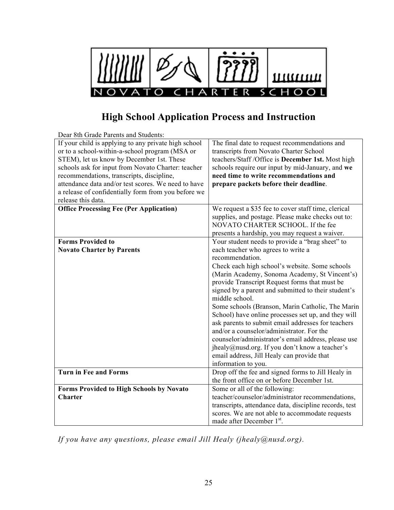

# **High School Application Process and Instruction**

| Dear 8th Grade Parents and Students:                 |                                                                                                           |
|------------------------------------------------------|-----------------------------------------------------------------------------------------------------------|
| If your child is applying to any private high school | The final date to request recommendations and                                                             |
| or to a school-within-a-school program (MSA or       | transcripts from Novato Charter School                                                                    |
| STEM), let us know by December 1st. These            | teachers/Staff/Office is December 1st. Most high                                                          |
| schools ask for input from Novato Charter: teacher   | schools require our input by mid-January, and we                                                          |
| recommendations, transcripts, discipline,            | need time to write recommendations and                                                                    |
| attendance data and/or test scores. We need to have  | prepare packets before their deadline.                                                                    |
| a release of confidentially form from you before we  |                                                                                                           |
| release this data.                                   |                                                                                                           |
| <b>Office Processing Fee (Per Application)</b>       | We request a \$35 fee to cover staff time, clerical                                                       |
|                                                      | supplies, and postage. Please make checks out to:                                                         |
|                                                      | NOVATO CHARTER SCHOOL. If the fee                                                                         |
|                                                      | presents a hardship, you may request a waiver.                                                            |
| <b>Forms Provided to</b>                             | Your student needs to provide a "brag sheet" to                                                           |
| <b>Novato Charter by Parents</b>                     | each teacher who agrees to write a                                                                        |
|                                                      | recommendation.                                                                                           |
|                                                      | Check each high school's website. Some schools                                                            |
|                                                      | (Marin Academy, Sonoma Academy, St Vincent's)                                                             |
|                                                      | provide Transcript Request forms that must be                                                             |
|                                                      | signed by a parent and submitted to their student's<br>middle school.                                     |
|                                                      |                                                                                                           |
|                                                      | Some schools (Branson, Marin Catholic, The Marin                                                          |
|                                                      | School) have online processes set up, and they will<br>ask parents to submit email addresses for teachers |
|                                                      | and/or a counselor/administrator. For the                                                                 |
|                                                      | counselor/administrator's email address, please use                                                       |
|                                                      | jhealy@nusd.org. If you don't know a teacher's                                                            |
|                                                      | email address, Jill Healy can provide that                                                                |
|                                                      | information to you.                                                                                       |
| <b>Turn in Fee and Forms</b>                         | Drop off the fee and signed forms to Jill Healy in                                                        |
|                                                      | the front office on or before December 1st.                                                               |
| <b>Forms Provided to High Schools by Novato</b>      | Some or all of the following:                                                                             |
| <b>Charter</b>                                       | teacher/counselor/administrator recommendations,                                                          |
|                                                      | transcripts, attendance data, discipline records, test                                                    |
|                                                      | scores. We are not able to accommodate requests                                                           |
|                                                      | made after December 1st.                                                                                  |

*If you have any questions, please email Jill Healy (jhealy@nusd.org).*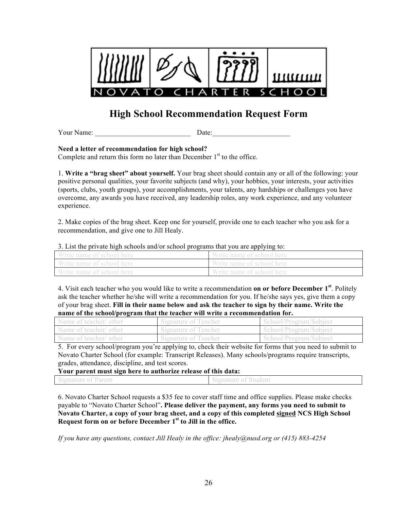

# **High School Recommendation Request Form**

Your Name:  $\Box$ 

**Need a letter of recommendation for high school?** 

Complete and return this form no later than December  $1<sup>st</sup>$  to the office.

1. **Write a "brag sheet" about yourself.** Your brag sheet should contain any or all of the following: your positive personal qualities, your favorite subjects (and why), your hobbies, your interests, your activities (sports, clubs, youth groups), your accomplishments, your talents, any hardships or challenges you have overcome, any awards you have received, any leadership roles, any work experience, and any volunteer experience.

2. Make copies of the brag sheet. Keep one for yourself, provide one to each teacher who you ask for a recommendation, and give one to Jill Healy.

#### 3. List the private high schools and/or school programs that you are applying to:

| Write name of school here | Write name of school here |
|---------------------------|---------------------------|
| Write name of school here | Write name of school here |
| Write name of school here | Write name of school here |

4. Visit each teacher who you would like to write a recommendation **on or before December 1st**. Politely ask the teacher whether he/she will write a recommendation for you. If he/she says yes, give them a copy of your brag sheet. **Fill in their name below and ask the teacher to sign by their name. Write the name of the school/program that the teacher will write a recommendation for.**

| Name of teacher/ other | Signature of Teacher | School/Program/Subject |
|------------------------|----------------------|------------------------|
| Name of teacher/ other | Signature of Teacher | School/Program/Subject |
| Name of teacher/ other | Signature of Teacher | School/Program/Subject |

5. For every school/program you're applying to, check their website for forms that you need to submit to Novato Charter School (for example: Transcript Releases). Many schools/programs require transcripts, grades, attendance, discipline, and test scores.

**Your parent must sign here to authorize release of this data:**

| Signature of Parent | Signature of Student |
|---------------------|----------------------|
|                     |                      |

6. Novato Charter School requests a \$35 fee to cover staff time and office supplies. Please make checks payable to "Novato Charter School"**. Please deliver the payment, any forms you need to submit to Novato Charter, a copy of your brag sheet, and a copy of this completed signed NCS High School Request form on or before December 1st to Jill in the office.**

*If you have any questions, contact Jill Healy in the office: jhealy@nusd.org or (415) 883-4254*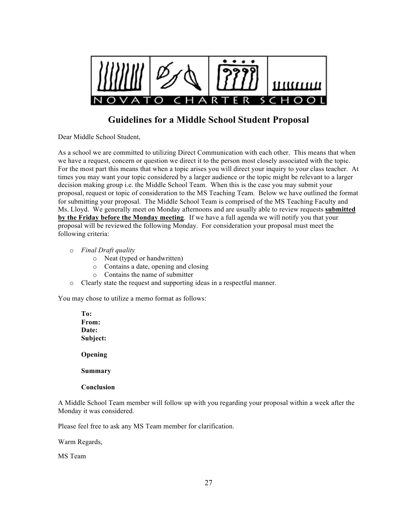

### **Guidelines for a Middle School Student Proposal**

Dear Middle School Student,

As a school we are committed to utilizing Direct Communication with each other. This means that when we have a request, concern or question we direct it to the person most closely associated with the topic. For the most part this means that when a topic arises you will direct your inquiry to your class teacher. At times you may want your topic considered by a larger audience or the topic might be relevant to a larger decision making group i.e. the Middle School Team. When this is the case you may submit your proposal, request or topic of consideration to the MS Teaching Team. Below we have outlined the format for submitting your proposal. The Middle School Team is comprised of the MS Teaching Faculty and Ms. Lloyd. We generally meet on Monday afternoons and are usually able to review requests **submitted by the Friday before the Monday meeting**. If we have a full agenda we will notify you that your proposal will be reviewed the following Monday. For consideration your proposal must meet the following criteria:

- o *Final Draft quality*
	- o Neat (typed or handwritten)
	- o Contains a date, opening and closing
	- o Contains the name of submitter
- o Clearly state the request and supporting ideas in a respectful manner.

You may chose to utilize a memo format as follows:

**To: From: Date: Subject: Opening Summary**

#### **Conclusion**

A Middle School Team member will follow up with you regarding your proposal within a week after the Monday it was considered.

Please feel free to ask any MS Team member for clarification.

Warm Regards,

MS Team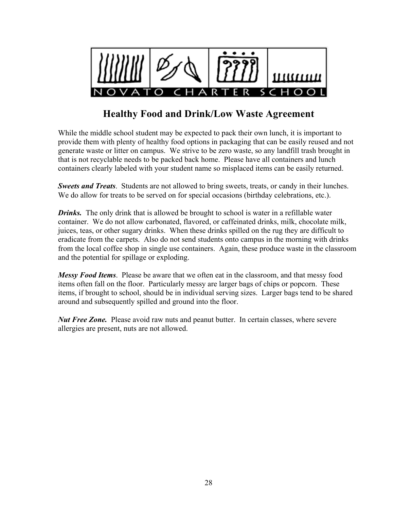

# **Healthy Food and Drink/Low Waste Agreement**

While the middle school student may be expected to pack their own lunch, it is important to provide them with plenty of healthy food options in packaging that can be easily reused and not generate waste or litter on campus. We strive to be zero waste, so any landfill trash brought in that is not recyclable needs to be packed back home. Please have all containers and lunch containers clearly labeled with your student name so misplaced items can be easily returned.

*Sweets and Treats*. Students are not allowed to bring sweets, treats, or candy in their lunches. We do allow for treats to be served on for special occasions (birthday celebrations, etc.).

*Drinks.* The only drink that is allowed be brought to school is water in a refillable water container. We do not allow carbonated, flavored, or caffeinated drinks, milk, chocolate milk, juices, teas, or other sugary drinks. When these drinks spilled on the rug they are difficult to eradicate from the carpets. Also do not send students onto campus in the morning with drinks from the local coffee shop in single use containers. Again, these produce waste in the classroom and the potential for spillage or exploding.

*Messy Food Items*. Please be aware that we often eat in the classroom, and that messy food items often fall on the floor. Particularly messy are larger bags of chips or popcorn. These items, if brought to school, should be in individual serving sizes. Larger bags tend to be shared around and subsequently spilled and ground into the floor.

*Nut Free Zone.* Please avoid raw nuts and peanut butter. In certain classes, where severe allergies are present, nuts are not allowed.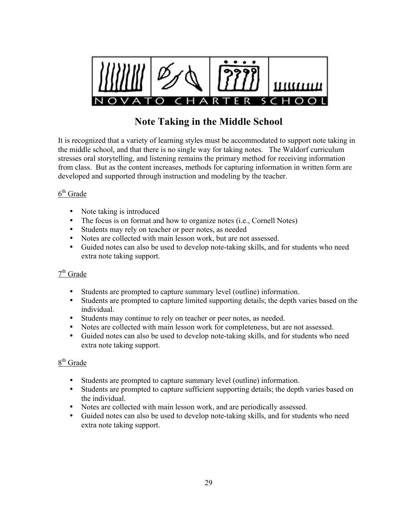

# **Note Taking in the Middle School**

It is recognized that a variety of learning styles must be accommodated to support note taking in the middle school, and that there is no single way for taking notes. The Waldorf curriculum stresses oral storytelling, and listening remains the primary method for receiving information from class. But as the content increases, methods for capturing information in written form are developed and supported through instruction and modeling by the teacher.

### $6<sup>th</sup>$  Grade

- Note taking is introduced
- The focus is on format and how to organize notes (i.e., Cornell Notes)
- Students may rely on teacher or peer notes, as needed
- Notes are collected with main lesson work, but are not assessed.
- Guided notes can also be used to develop note-taking skills, and for students who need extra note taking support.

### $7<sup>th</sup>$  Grade

- Students are prompted to capture summary level (outline) information.
- Students are prompted to capture limited supporting details; the depth varies based on the individual.
- Students may continue to rely on teacher or peer notes, as needed.
- Notes are collected with main lesson work for completeness, but are not assessed.
- Guided notes can also be used to develop note-taking skills, and for students who need extra note taking support.

### 8<sup>th</sup> Grade

- Students are prompted to capture summary level (outline) information.
- Students are prompted to capture sufficient supporting details; the depth varies based on the individual.
- Notes are collected with main lesson work, and are periodically assessed.
- Guided notes can also be used to develop note-taking skills, and for students who need extra note taking support.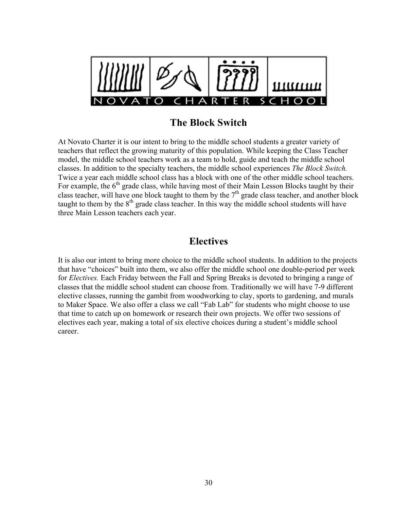

## **The Block Switch**

At Novato Charter it is our intent to bring to the middle school students a greater variety of teachers that reflect the growing maturity of this population. While keeping the Class Teacher model, the middle school teachers work as a team to hold, guide and teach the middle school classes. In addition to the specialty teachers, the middle school experiences *The Block Switch.*  Twice a year each middle school class has a block with one of the other middle school teachers. For example, the  $6<sup>th</sup>$  grade class, while having most of their Main Lesson Blocks taught by their class teacher, will have one block taught to them by the  $7<sup>th</sup>$  grade class teacher, and another block taught to them by the  $8<sup>th</sup>$  grade class teacher. In this way the middle school students will have three Main Lesson teachers each year.

### **Electives**

It is also our intent to bring more choice to the middle school students. In addition to the projects that have "choices" built into them, we also offer the middle school one double-period per week for *Electives.* Each Friday between the Fall and Spring Breaks is devoted to bringing a range of classes that the middle school student can choose from. Traditionally we will have 7-9 different elective classes, running the gambit from woodworking to clay, sports to gardening, and murals to Maker Space. We also offer a class we call "Fab Lab" for students who might choose to use that time to catch up on homework or research their own projects. We offer two sessions of electives each year, making a total of six elective choices during a student's middle school career.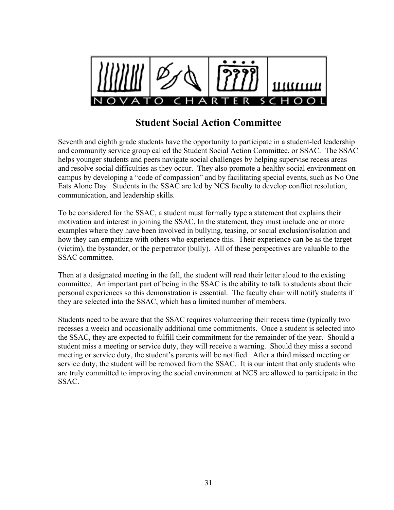

## **Student Social Action Committee**

Seventh and eighth grade students have the opportunity to participate in a student-led leadership and community service group called the Student Social Action Committee, or SSAC. The SSAC helps younger students and peers navigate social challenges by helping supervise recess areas and resolve social difficulties as they occur. They also promote a healthy social environment on campus by developing a "code of compassion" and by facilitating special events, such as No One Eats Alone Day. Students in the SSAC are led by NCS faculty to develop conflict resolution, communication, and leadership skills.

To be considered for the SSAC, a student must formally type a statement that explains their motivation and interest in joining the SSAC. In the statement, they must include one or more examples where they have been involved in bullying, teasing, or social exclusion/isolation and how they can empathize with others who experience this. Their experience can be as the target (victim), the bystander, or the perpetrator (bully). All of these perspectives are valuable to the SSAC committee.

Then at a designated meeting in the fall, the student will read their letter aloud to the existing committee. An important part of being in the SSAC is the ability to talk to students about their personal experiences so this demonstration is essential. The faculty chair will notify students if they are selected into the SSAC, which has a limited number of members.

Students need to be aware that the SSAC requires volunteering their recess time (typically two recesses a week) and occasionally additional time commitments. Once a student is selected into the SSAC, they are expected to fulfill their commitment for the remainder of the year. Should a student miss a meeting or service duty, they will receive a warning. Should they miss a second meeting or service duty, the student's parents will be notified. After a third missed meeting or service duty, the student will be removed from the SSAC. It is our intent that only students who are truly committed to improving the social environment at NCS are allowed to participate in the SSAC.